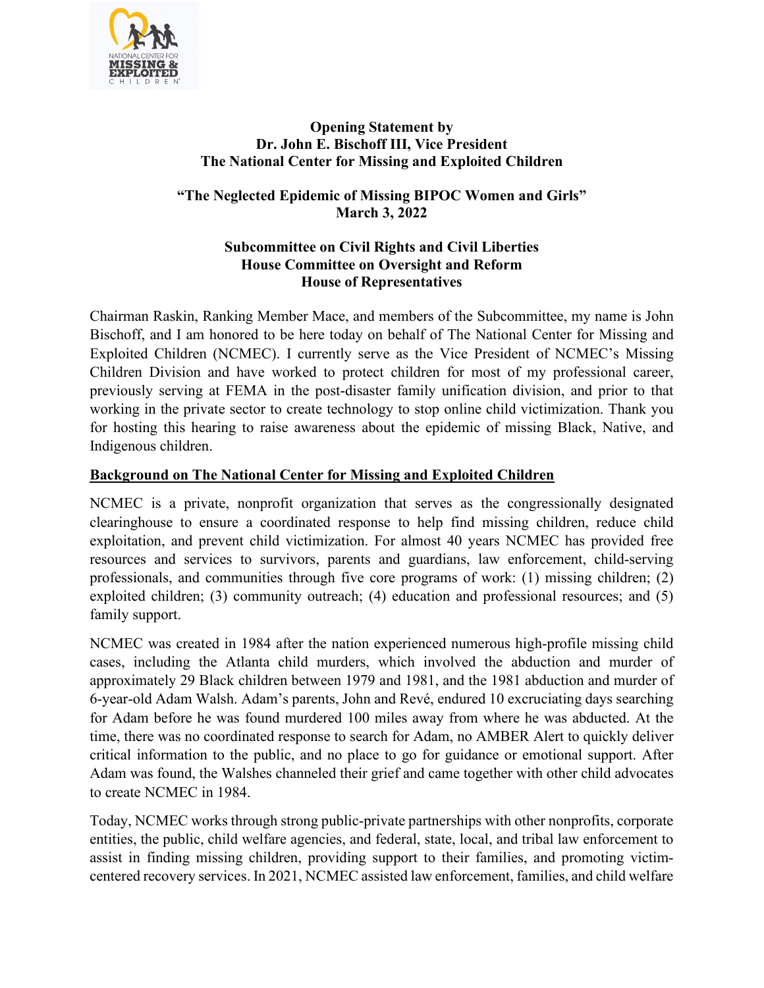

## **Opening Statement by Dr. John E. Bischoff III, Vice President The National Center for Missing and Exploited Children**

# **"The Neglected Epidemic of Missing BIPOC Women and Girls" March 3, 2022**

### **Subcommittee on Civil Rights and Civil Liberties House Committee on Oversight and Reform House of Representatives**

Chairman Raskin, Ranking Member Mace, and members of the Subcommittee, my name is John Bischoff, and I am honored to be here today on behalf of The National Center for Missing and Exploited Children (NCMEC). I currently serve as the Vice President of NCMEC's Missing Children Division and have worked to protect children for most of my professional career, previously serving at FEMA in the post-disaster family unification division, and prior to that working in the private sector to create technology to stop online child victimization. Thank you for hosting this hearing to raise awareness about the epidemic of missing Black, Native, and Indigenous children.

# **Background on The National Center for Missing and Exploited Children**

NCMEC is a private, nonprofit organization that serves as the congressionally designated clearinghouse to ensure a coordinated response to help find missing children, reduce child exploitation, and prevent child victimization. For almost 40 years NCMEC has provided free resources and services to survivors, parents and guardians, law enforcement, child-serving professionals, and communities through five core programs of work: (1) missing children; (2) exploited children; (3) community outreach; (4) education and professional resources; and (5) family support.

NCMEC was created in 1984 after the nation experienced numerous high-profile missing child cases, including the Atlanta child murders, which involved the abduction and murder of approximately 29 Black children between 1979 and 1981, and the 1981 abduction and murder of 6-year-old Adam Walsh. Adam's parents, John and Revé, endured 10 excruciating days searching for Adam before he was found murdered 100 miles away from where he was abducted. At the time, there was no coordinated response to search for Adam, no AMBER Alert to quickly deliver critical information to the public, and no place to go for guidance or emotional support. After Adam was found, the Walshes channeled their grief and came together with other child advocates to create NCMEC in 1984.

Today, NCMEC works through strong public-private partnerships with other nonprofits, corporate entities, the public, child welfare agencies, and federal, state, local, and tribal law enforcement to assist in finding missing children, providing support to their families, and promoting victimcentered recovery services. In 2021, NCMEC assisted law enforcement, families, and child welfare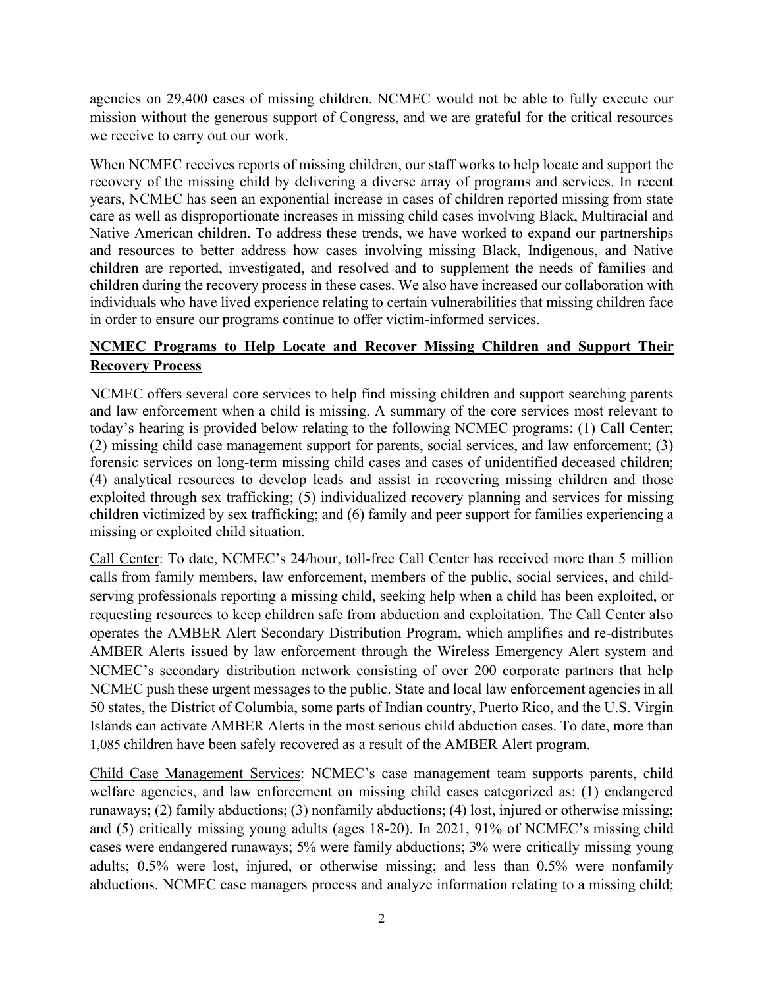agencies on 29,400 cases of missing children. NCMEC would not be able to fully execute our mission without the generous support of Congress, and we are grateful for the critical resources we receive to carry out our work.

When NCMEC receives reports of missing children, our staff works to help locate and support the recovery of the missing child by delivering a diverse array of programs and services. In recent years, NCMEC has seen an exponential increase in cases of children reported missing from state care as well as disproportionate increases in missing child cases involving Black, Multiracial and Native American children. To address these trends, we have worked to expand our partnerships and resources to better address how cases involving missing Black, Indigenous, and Native children are reported, investigated, and resolved and to supplement the needs of families and children during the recovery process in these cases. We also have increased our collaboration with individuals who have lived experience relating to certain vulnerabilities that missing children face in order to ensure our programs continue to offer victim-informed services.

# **NCMEC Programs to Help Locate and Recover Missing Children and Support Their Recovery Process**

NCMEC offers several core services to help find missing children and support searching parents and law enforcement when a child is missing. A summary of the core services most relevant to today's hearing is provided below relating to the following NCMEC programs: (1) Call Center; (2) missing child case management support for parents, social services, and law enforcement; (3) forensic services on long-term missing child cases and cases of unidentified deceased children; (4) analytical resources to develop leads and assist in recovering missing children and those exploited through sex trafficking; (5) individualized recovery planning and services for missing children victimized by sex trafficking; and (6) family and peer support for families experiencing a missing or exploited child situation.

Call Center: To date, NCMEC's 24/hour, toll-free Call Center has received more than 5 million calls from family members, law enforcement, members of the public, social services, and childserving professionals reporting a missing child, seeking help when a child has been exploited, or requesting resources to keep children safe from abduction and exploitation. The Call Center also operates the AMBER Alert Secondary Distribution Program, which amplifies and re-distributes AMBER Alerts issued by law enforcement through the Wireless Emergency Alert system and NCMEC's secondary distribution network consisting of over 200 corporate partners that help NCMEC push these urgent messages to the public. State and local law enforcement agencies in all 50 states, the District of Columbia, some parts of Indian country, Puerto Rico, and the U.S. Virgin Islands can activate AMBER Alerts in the most serious child abduction cases. To date, more than 1,085 children have been safely recovered as a result of the AMBER Alert program.

Child Case Management Services: NCMEC's case management team supports parents, child welfare agencies, and law enforcement on missing child cases categorized as: (1) endangered runaways; (2) family abductions; (3) nonfamily abductions; (4) lost, injured or otherwise missing; and (5) critically missing young adults (ages 18-20). In 2021, 91% of NCMEC's missing child cases were endangered runaways; 5% were family abductions; 3% were critically missing young adults; 0.5% were lost, injured, or otherwise missing; and less than 0.5% were nonfamily abductions. NCMEC case managers process and analyze information relating to a missing child;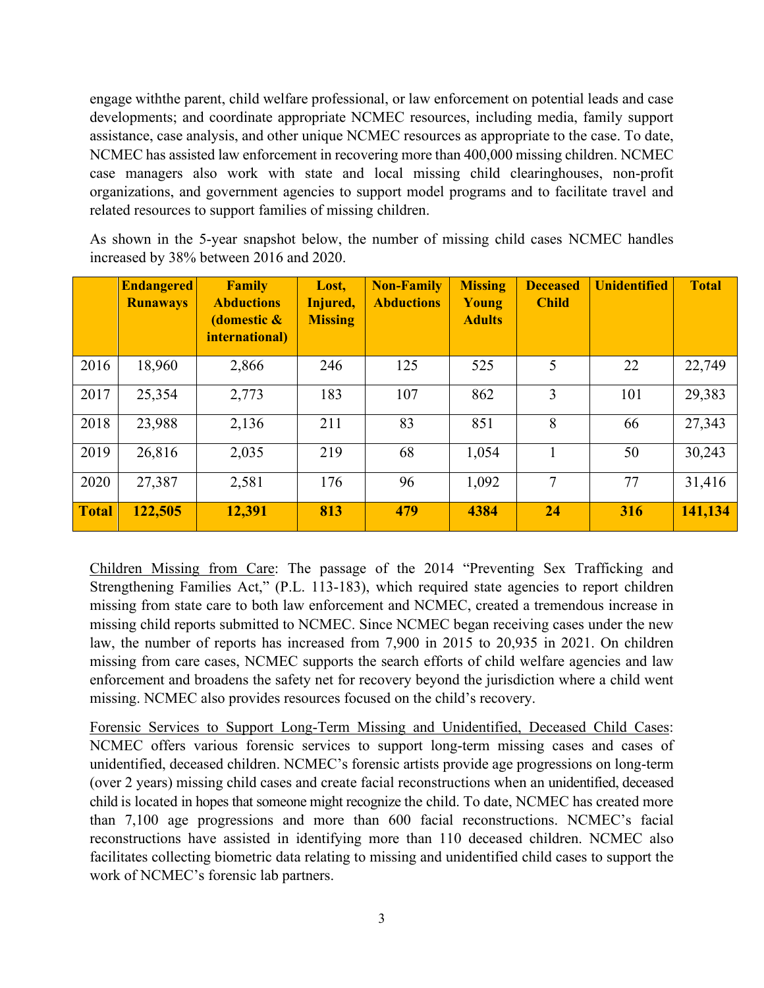engage withthe parent, child welfare professional, or law enforcement on potential leads and case developments; and coordinate appropriate NCMEC resources, including media, family support assistance, case analysis, and other unique NCMEC resources as appropriate to the case. To date, NCMEC has assisted law enforcement in recovering more than 400,000 missing children. NCMEC case managers also work with state and local missing child clearinghouses, non-profit organizations, and government agencies to support model programs and to facilitate travel and related resources to support families of missing children.

As shown in the 5-year snapshot below, the number of missing child cases NCMEC handles increased by 38% between 2016 and 2020.

|              | <b>Endangered</b><br><b>Runaways</b> | <b>Family</b><br><b>Abductions</b><br>(domestic &<br><i>international)</i> | Lost,<br>Injured,<br><b>Missing</b> | <b>Non-Family</b><br><b>Abductions</b> | <b>Missing</b><br>Young<br><b>Adults</b> | <b>Deceased</b><br><b>Child</b> | <b>Unidentified</b> | <b>Total</b> |
|--------------|--------------------------------------|----------------------------------------------------------------------------|-------------------------------------|----------------------------------------|------------------------------------------|---------------------------------|---------------------|--------------|
| 2016         | 18,960                               | 2,866                                                                      | 246                                 | 125                                    | 525                                      | 5                               | 22                  | 22,749       |
| 2017         | 25,354                               | 2,773                                                                      | 183                                 | 107                                    | 862                                      | 3                               | 101                 | 29,383       |
| 2018         | 23,988                               | 2,136                                                                      | 211                                 | 83                                     | 851                                      | 8                               | 66                  | 27,343       |
| 2019         | 26,816                               | 2,035                                                                      | 219                                 | 68                                     | 1,054                                    |                                 | 50                  | 30,243       |
| 2020         | 27,387                               | 2,581                                                                      | 176                                 | 96                                     | 1,092                                    | 7                               | 77                  | 31,416       |
| <b>Total</b> | 122,505                              | 12,391                                                                     | 813                                 | 479                                    | 4384                                     | 24                              | 316                 | 141,134      |

Children Missing from Care: The passage of the 2014 "Preventing Sex Trafficking and Strengthening Families Act," (P.L. 113-183), which required state agencies to report children missing from state care to both law enforcement and NCMEC, created a tremendous increase in missing child reports submitted to NCMEC. Since NCMEC began receiving cases under the new law, the number of reports has increased from 7,900 in 2015 to 20,935 in 2021. On children missing from care cases, NCMEC supports the search efforts of child welfare agencies and law enforcement and broadens the safety net for recovery beyond the jurisdiction where a child went missing. NCMEC also provides resources focused on the child's recovery.

Forensic Services to Support Long-Term Missing and Unidentified, Deceased Child Cases: NCMEC offers various forensic services to support long-term missing cases and cases of unidentified, deceased children. NCMEC's forensic artists provide age progressions on long-term (over 2 years) missing child cases and create facial reconstructions when an unidentified, deceased child is located in hopes that someone might recognize the child. To date, NCMEC has created more than 7,100 age progressions and more than 600 facial reconstructions. NCMEC's facial reconstructions have assisted in identifying more than 110 deceased children. NCMEC also facilitates collecting biometric data relating to missing and unidentified child cases to support the work of NCMEC's forensic lab partners.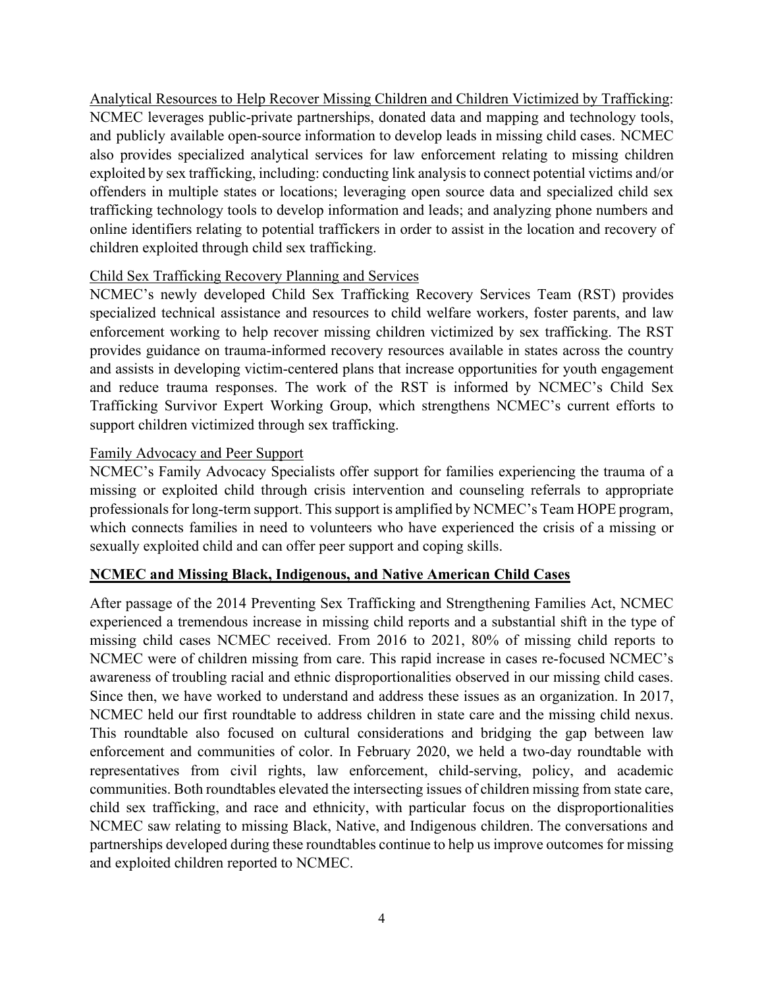Analytical Resources to Help Recover Missing Children and Children Victimized by Trafficking: NCMEC leverages public-private partnerships, donated data and mapping and technology tools, and publicly available open-source information to develop leads in missing child cases. NCMEC also provides specialized analytical services for law enforcement relating to missing children exploited by sex trafficking, including: conducting link analysis to connect potential victims and/or offenders in multiple states or locations; leveraging open source data and specialized child sex trafficking technology tools to develop information and leads; and analyzing phone numbers and online identifiers relating to potential traffickers in order to assist in the location and recovery of children exploited through child sex trafficking.

### Child Sex Trafficking Recovery Planning and Services

NCMEC's newly developed Child Sex Trafficking Recovery Services Team (RST) provides specialized technical assistance and resources to child welfare workers, foster parents, and law enforcement working to help recover missing children victimized by sex trafficking. The RST provides guidance on trauma-informed recovery resources available in states across the country and assists in developing victim-centered plans that increase opportunities for youth engagement and reduce trauma responses. The work of the RST is informed by NCMEC's Child Sex Trafficking Survivor Expert Working Group, which strengthens NCMEC's current efforts to support children victimized through sex trafficking.

#### Family Advocacy and Peer Support

NCMEC's Family Advocacy Specialists offer support for families experiencing the trauma of a missing or exploited child through crisis intervention and counseling referrals to appropriate professionals for long-term support. This support is amplified by NCMEC's Team HOPE program, which connects families in need to volunteers who have experienced the crisis of a missing or sexually exploited child and can offer peer support and coping skills.

#### **NCMEC and Missing Black, Indigenous, and Native American Child Cases**

After passage of the 2014 Preventing Sex Trafficking and Strengthening Families Act, NCMEC experienced a tremendous increase in missing child reports and a substantial shift in the type of missing child cases NCMEC received. From 2016 to 2021, 80% of missing child reports to NCMEC were of children missing from care. This rapid increase in cases re-focused NCMEC's awareness of troubling racial and ethnic disproportionalities observed in our missing child cases. Since then, we have worked to understand and address these issues as an organization. In 2017, NCMEC held our first roundtable to address children in state care and the missing child nexus. This roundtable also focused on cultural considerations and bridging the gap between law enforcement and communities of color. In February 2020, we held a two-day roundtable with representatives from civil rights, law enforcement, child-serving, policy, and academic communities. Both roundtables elevated the intersecting issues of children missing from state care, child sex trafficking, and race and ethnicity, with particular focus on the disproportionalities NCMEC saw relating to missing Black, Native, and Indigenous children. The conversations and partnerships developed during these roundtables continue to help us improve outcomes for missing and exploited children reported to NCMEC.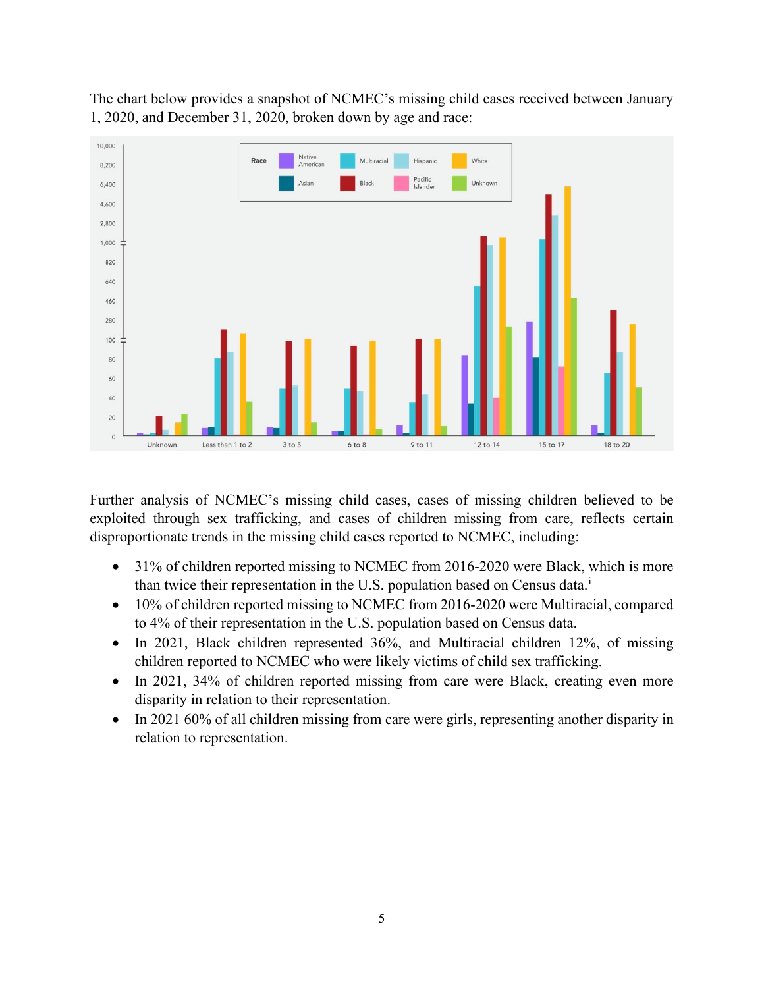The chart below provides a snapshot of NCMEC's missing child cases received between January 1, 2020, and December 31, 2020, broken down by age and race:



Further analysis of NCMEC's missing child cases, cases of missing children believed to be exploited through sex trafficking, and cases of children missing from care, reflects certain disproportionate trends in the missing child cases reported to NCMEC, including:

- 31% of children reported missing to NCMEC from 2016-2020 were Black, which is more than tw[i](#page-7-0)ce their representation in the U.S. population based on Census data.<sup>i</sup>
- 10% of children reported missing to NCMEC from 2016-2020 were Multiracial, compared to 4% of their representation in the U.S. population based on Census data.
- In 2021, Black children represented 36%, and Multiracial children 12%, of missing children reported to NCMEC who were likely victims of child sex trafficking.
- In 2021, 34% of children reported missing from care were Black, creating even more disparity in relation to their representation.
- In 2021 60% of all children missing from care were girls, representing another disparity in relation to representation.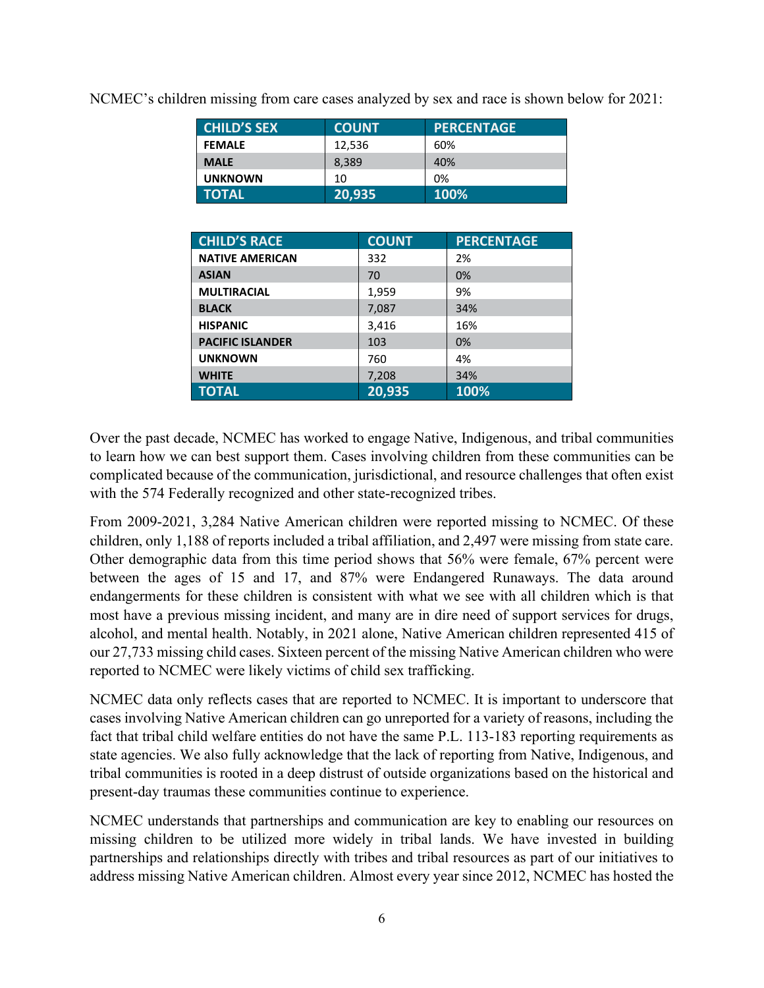| <b>CHILD'S SEX</b> | <b>COUNT</b> | <b>PERCENTAGE</b> |
|--------------------|--------------|-------------------|
| <b>FEMALE</b>      | 12,536       | 60%               |
| <b>MALE</b>        | 8,389        | 40%               |
| <b>UNKNOWN</b>     | 10           | 0%                |
| <b>TOTAL</b>       | 20,935       | <b>100%</b>       |

NCMEC's children missing from care cases analyzed by sex and race is shown below for 2021:

| <b>CHILD'S RACE</b>     | <b>COUNT</b> | <b>PERCENTAGE</b> |
|-------------------------|--------------|-------------------|
| <b>NATIVE AMERICAN</b>  | 332          | 2%                |
| <b>ASIAN</b>            | 70           | 0%                |
| <b>MULTIRACIAL</b>      | 1,959        | 9%                |
| <b>BLACK</b>            | 7,087        | 34%               |
| <b>HISPANIC</b>         | 3,416        | 16%               |
| <b>PACIFIC ISLANDER</b> | 103          | 0%                |
| <b>UNKNOWN</b>          | 760          | 4%                |
| <b>WHITE</b>            | 7,208        | 34%               |
| <b>TOTAL</b>            | 20,935       | 100%              |

Over the past decade, NCMEC has worked to engage Native, Indigenous, and tribal communities to learn how we can best support them. Cases involving children from these communities can be complicated because of the communication, jurisdictional, and resource challenges that often exist with the 574 Federally recognized and other state-recognized tribes.

From 2009-2021, 3,284 Native American children were reported missing to NCMEC. Of these children, only 1,188 of reports included a tribal affiliation, and 2,497 were missing from state care. Other demographic data from this time period shows that 56% were female, 67% percent were between the ages of 15 and 17, and 87% were Endangered Runaways. The data around endangerments for these children is consistent with what we see with all children which is that most have a previous missing incident, and many are in dire need of support services for drugs, alcohol, and mental health. Notably, in 2021 alone, Native American children represented 415 of our 27,733 missing child cases. Sixteen percent of the missing Native American children who were reported to NCMEC were likely victims of child sex trafficking.

NCMEC data only reflects cases that are reported to NCMEC. It is important to underscore that cases involving Native American children can go unreported for a variety of reasons, including the fact that tribal child welfare entities do not have the same P.L. 113-183 reporting requirements as state agencies. We also fully acknowledge that the lack of reporting from Native, Indigenous, and tribal communities is rooted in a deep distrust of outside organizations based on the historical and present-day traumas these communities continue to experience.

NCMEC understands that partnerships and communication are key to enabling our resources on missing children to be utilized more widely in tribal lands. We have invested in building partnerships and relationships directly with tribes and tribal resources as part of our initiatives to address missing Native American children. Almost every year since 2012, NCMEC has hosted the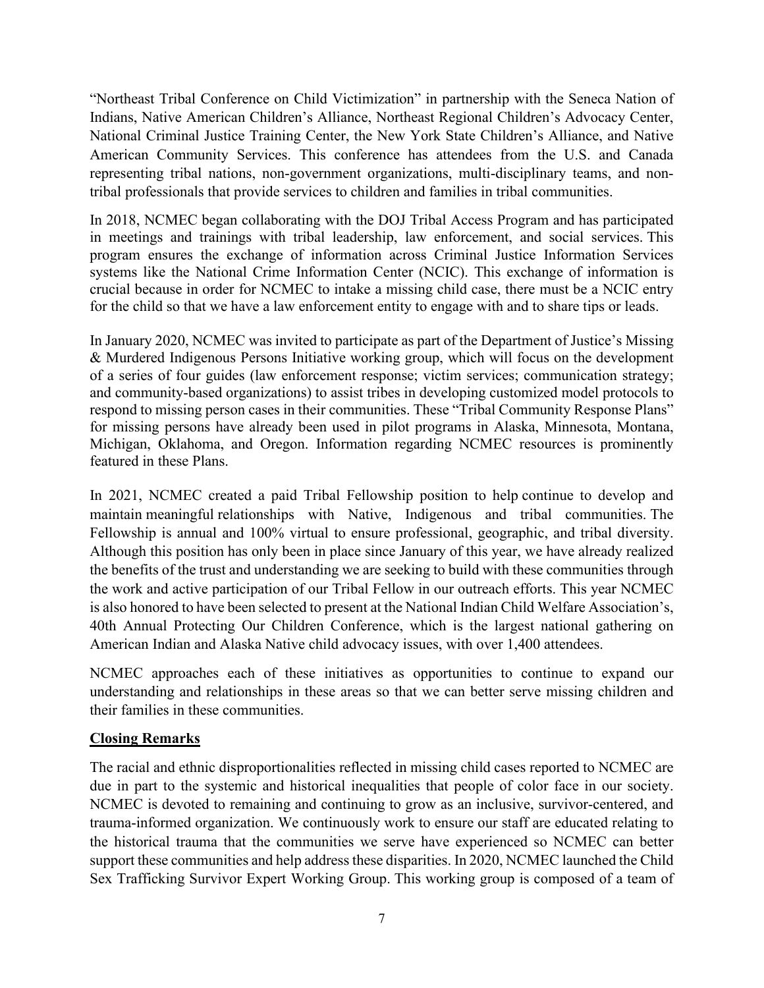"Northeast Tribal Conference on Child Victimization" in partnership with the Seneca Nation of Indians, Native American Children's Alliance, Northeast Regional Children's Advocacy Center, National Criminal Justice Training Center, the New York State Children's Alliance, and Native American Community Services. This conference has attendees from the U.S. and Canada representing tribal nations, non-government organizations, multi-disciplinary teams, and nontribal professionals that provide services to children and families in tribal communities.

In 2018, NCMEC began collaborating with the DOJ Tribal Access Program and has participated in meetings and trainings with tribal leadership, law enforcement, and social services. This program ensures the exchange of information across Criminal Justice Information Services systems like the National Crime Information Center (NCIC). This exchange of information is crucial because in order for NCMEC to intake a missing child case, there must be a NCIC entry for the child so that we have a law enforcement entity to engage with and to share tips or leads.

In January 2020, NCMEC was invited to participate as part of the Department of Justice's Missing & Murdered Indigenous Persons Initiative working group, which will focus on the development of a series of four guides (law enforcement response; victim services; communication strategy; and community-based organizations) to assist tribes in developing customized model protocols to respond to missing person cases in their communities. These "Tribal Community Response Plans" for missing persons have already been used in pilot programs in Alaska, Minnesota, Montana, Michigan, Oklahoma, and Oregon. Information regarding NCMEC resources is prominently featured in these Plans.

In 2021, NCMEC created a paid Tribal Fellowship position to help continue to develop and maintain meaningful relationships with Native, Indigenous and tribal communities. The Fellowship is annual and 100% virtual to ensure professional, geographic, and tribal diversity. Although this position has only been in place since January of this year, we have already realized the benefits of the trust and understanding we are seeking to build with these communities through the work and active participation of our Tribal Fellow in our outreach efforts. This year NCMEC is also honored to have been selected to present at the National Indian Child Welfare Association's, 40th Annual Protecting Our Children Conference, which is the largest national gathering on American Indian and Alaska Native child advocacy issues, with over 1,400 attendees.

NCMEC approaches each of these initiatives as opportunities to continue to expand our understanding and relationships in these areas so that we can better serve missing children and their families in these communities.

### **Closing Remarks**

The racial and ethnic disproportionalities reflected in missing child cases reported to NCMEC are due in part to the systemic and historical inequalities that people of color face in our society. NCMEC is devoted to remaining and continuing to grow as an inclusive, survivor-centered, and trauma-informed organization. We continuously work to ensure our staff are educated relating to the historical trauma that the communities we serve have experienced so NCMEC can better support these communities and help address these disparities. In 2020, NCMEC launched the Child Sex Trafficking Survivor Expert Working Group. This working group is composed of a team of